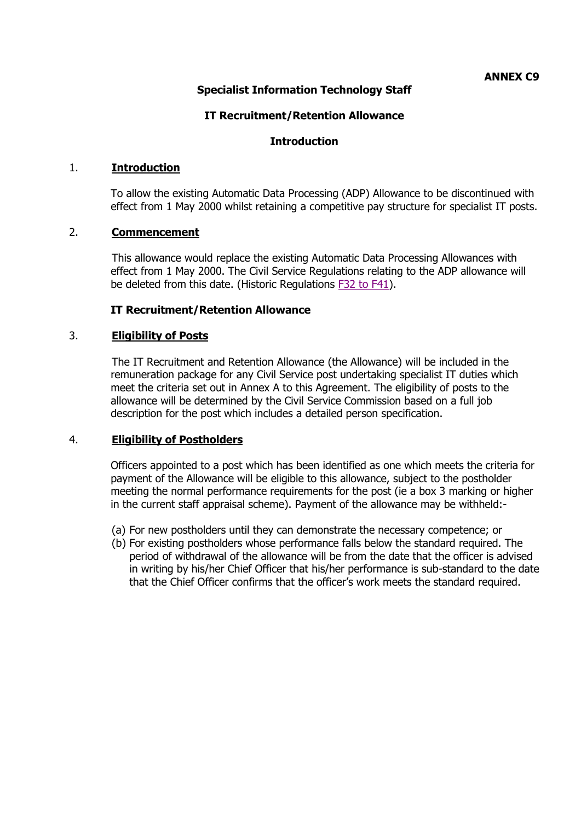# **Specialist Information Technology Staff**

## **IT Recruitment/Retention Allowance**

## **Introduction**

## 1. **Introduction**

To allow the existing Automatic Data Processing (ADP) Allowance to be discontinued with effect from 1 May 2000 whilst retaining a competitive pay structure for specialist IT posts.

## 2. **Commencement**

This allowance would replace the existing Automatic Data Processing Allowances with effect from 1 May 2000. The Civil Service Regulations relating to the ADP allowance will be deleted from this date. (Historic Regulations [F32 to F41\)](http://www.gov.im/personnel/iomcs/cs_regs/section_F/sectionfindex.xml).

## **IT Recruitment/Retention Allowance**

## 3. **Eligibility of Posts**

The IT Recruitment and Retention Allowance (the Allowance) will be included in the remuneration package for any Civil Service post undertaking specialist IT duties which meet the criteria set out in Annex A to this Agreement. The eligibility of posts to the allowance will be determined by the Civil Service Commission based on a full job description for the post which includes a detailed person specification.

#### 4. **Eligibility of Postholders**

Officers appointed to a post which has been identified as one which meets the criteria for payment of the Allowance will be eligible to this allowance, subject to the postholder meeting the normal performance requirements for the post (ie a box 3 marking or higher in the current staff appraisal scheme). Payment of the allowance may be withheld:-

- (a) For new postholders until they can demonstrate the necessary competence; or
- (b) For existing postholders whose performance falls below the standard required. The period of withdrawal of the allowance will be from the date that the officer is advised in writing by his/her Chief Officer that his/her performance is sub-standard to the date that the Chief Officer confirms that the officer's work meets the standard required.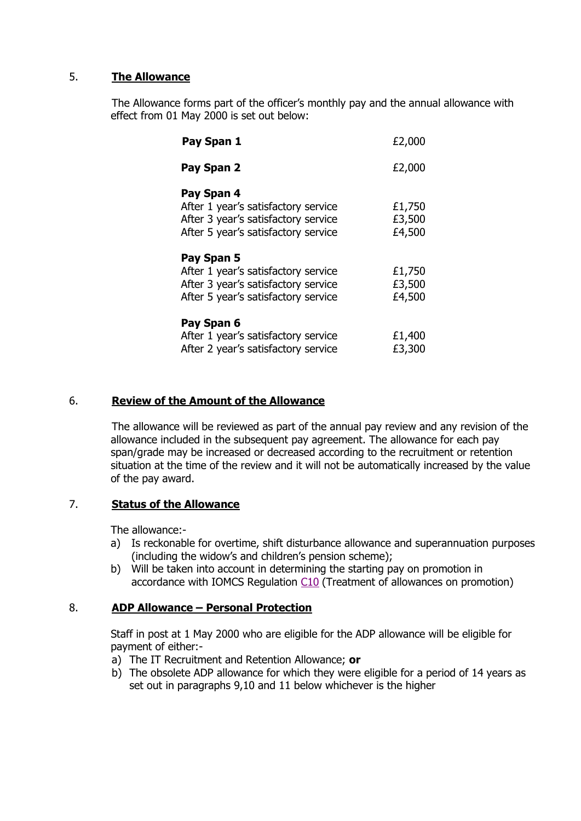# 5. **The Allowance**

The Allowance forms part of the officer's monthly pay and the annual allowance with effect from 01 May 2000 is set out below:

| Pay Span 1                                                                                                                      | £2,000                     |
|---------------------------------------------------------------------------------------------------------------------------------|----------------------------|
| Pay Span 2                                                                                                                      | £2,000                     |
| Pay Span 4<br>After 1 year's satisfactory service<br>After 3 year's satisfactory service<br>After 5 year's satisfactory service | £1,750<br>£3,500<br>£4,500 |
| Pay Span 5<br>After 1 year's satisfactory service<br>After 3 year's satisfactory service<br>After 5 year's satisfactory service | £1,750<br>£3,500<br>£4,500 |
| Pay Span 6<br>After 1 year's satisfactory service<br>After 2 year's satisfactory service                                        | £1,400<br>£3,300           |

# 6. **Review of the Amount of the Allowance**

The allowance will be reviewed as part of the annual pay review and any revision of the allowance included in the subsequent pay agreement. The allowance for each pay span/grade may be increased or decreased according to the recruitment or retention situation at the time of the review and it will not be automatically increased by the value of the pay award.

# 7. **Status of the Allowance**

The allowance:-

- a) Is reckonable for overtime, shift disturbance allowance and superannuation purposes (including the widow's and children's pension scheme);
- b) Will be taken into account in determining the starting pay on promotion in accordance with IOMCS Regulation [C10](http://www.gov.im/hr/iomcs/cs_regs/section_C/pay.xml#c10) (Treatment of allowances on promotion)

# 8. **ADP Allowance – Personal Protection**

Staff in post at 1 May 2000 who are eligible for the ADP allowance will be eligible for payment of either:-

- a) The IT Recruitment and Retention Allowance; **or**
- b) The obsolete ADP allowance for which they were eligible for a period of 14 years as set out in paragraphs 9,10 and 11 below whichever is the higher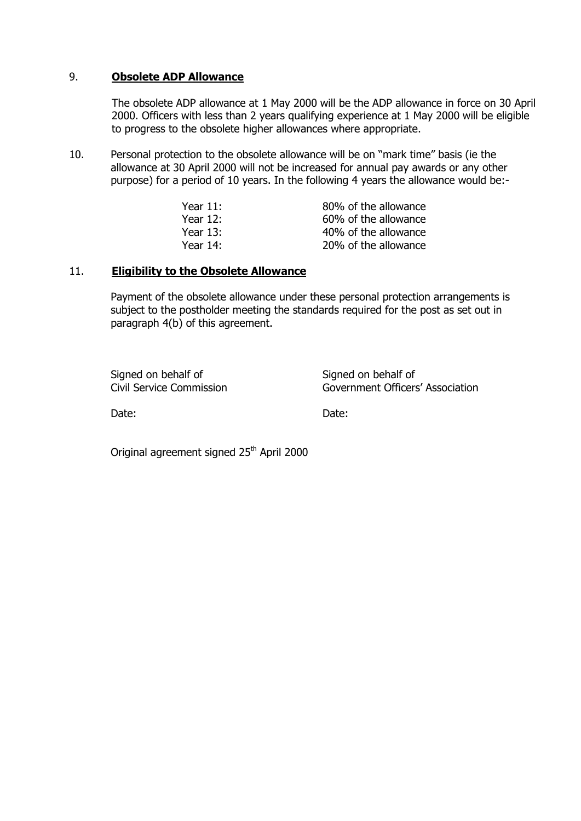#### 9. **Obsolete ADP Allowance**

The obsolete ADP allowance at 1 May 2000 will be the ADP allowance in force on 30 April 2000. Officers with less than 2 years qualifying experience at 1 May 2000 will be eligible to progress to the obsolete higher allowances where appropriate.

10. Personal protection to the obsolete allowance will be on "mark time" basis (ie the allowance at 30 April 2000 will not be increased for annual pay awards or any other purpose) for a period of 10 years. In the following 4 years the allowance would be:-

| Year $11$ : | 80% of the allowance |
|-------------|----------------------|
| Year $12$ : | 60% of the allowance |
| Year 13:    | 40% of the allowance |
| Year 14:    | 20% of the allowance |

## 11. **Eligibility to the Obsolete Allowance**

Payment of the obsolete allowance under these personal protection arrangements is subject to the postholder meeting the standards required for the post as set out in paragraph 4(b) of this agreement.

Signed on behalf of Signed on behalf of

Civil Service Commission Government Officers' Association

Date: **Date: Date: Date: Date: Date:** 

Original agreement signed 25<sup>th</sup> April 2000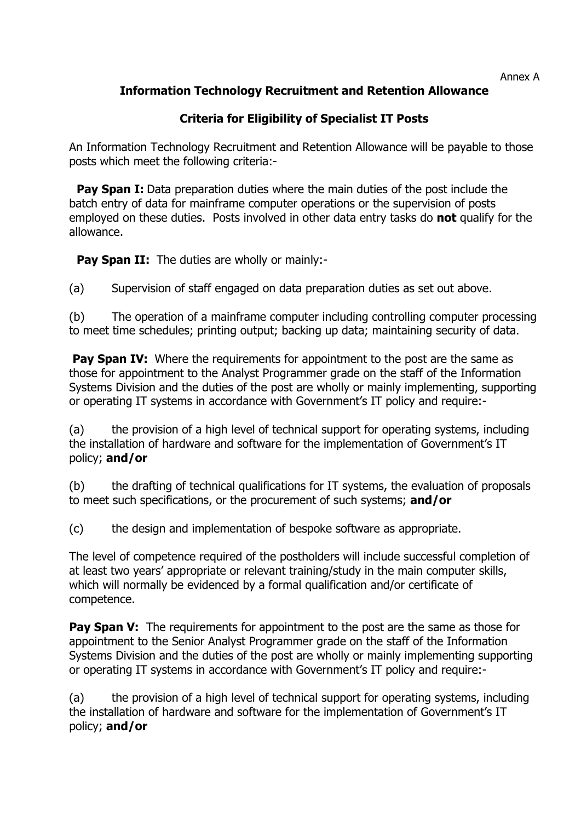#### Annex A

# **Information Technology Recruitment and Retention Allowance**

# **Criteria for Eligibility of Specialist IT Posts**

An Information Technology Recruitment and Retention Allowance will be payable to those posts which meet the following criteria:-

**Pay Span I:** Data preparation duties where the main duties of the post include the batch entry of data for mainframe computer operations or the supervision of posts employed on these duties. Posts involved in other data entry tasks do **not** qualify for the allowance.

**Pay Span II:** The duties are wholly or mainly:-

(a) Supervision of staff engaged on data preparation duties as set out above.

(b) The operation of a mainframe computer including controlling computer processing to meet time schedules; printing output; backing up data; maintaining security of data.

**Pay Span IV:** Where the requirements for appointment to the post are the same as those for appointment to the Analyst Programmer grade on the staff of the Information Systems Division and the duties of the post are wholly or mainly implementing, supporting or operating IT systems in accordance with Government's IT policy and require:-

(a) the provision of a high level of technical support for operating systems, including the installation of hardware and software for the implementation of Government's IT policy; **and/or**

(b) the drafting of technical qualifications for IT systems, the evaluation of proposals to meet such specifications, or the procurement of such systems; **and/or**

(c) the design and implementation of bespoke software as appropriate.

The level of competence required of the postholders will include successful completion of at least two years' appropriate or relevant training/study in the main computer skills, which will normally be evidenced by a formal qualification and/or certificate of competence.

**Pay Span V:** The requirements for appointment to the post are the same as those for appointment to the Senior Analyst Programmer grade on the staff of the Information Systems Division and the duties of the post are wholly or mainly implementing supporting or operating IT systems in accordance with Government's IT policy and require:-

(a) the provision of a high level of technical support for operating systems, including the installation of hardware and software for the implementation of Government's IT policy; **and/or**